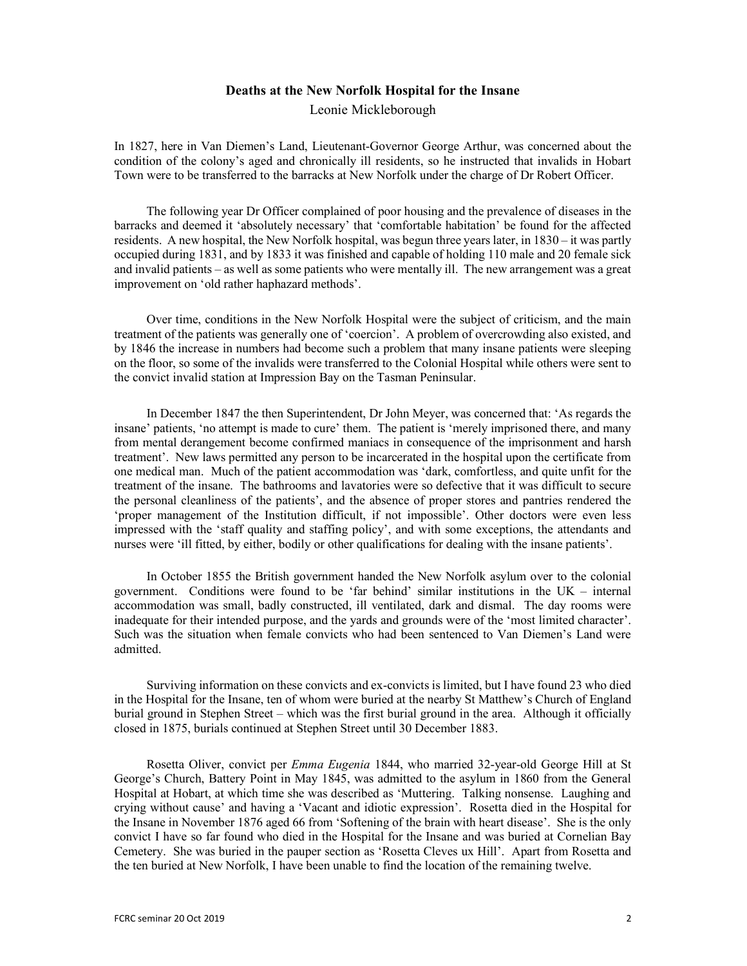## Deaths at the New Norfolk Hospital for the Insane

Leonie Mickleborough

In 1827, here in Van Diemen's Land, Lieutenant-Governor George Arthur, was concerned about the condition of the colony's aged and chronically ill residents, so he instructed that invalids in Hobart Town were to be transferred to the barracks at New Norfolk under the charge of Dr Robert Officer.

The following year Dr Officer complained of poor housing and the prevalence of diseases in the barracks and deemed it 'absolutely necessary' that 'comfortable habitation' be found for the affected residents. A new hospital, the New Norfolk hospital, was begun three years later, in 1830 – it was partly occupied during 1831, and by 1833 it was finished and capable of holding 110 male and 20 female sick and invalid patients – as well as some patients who were mentally ill. The new arrangement was a great improvement on 'old rather haphazard methods'.

Over time, conditions in the New Norfolk Hospital were the subject of criticism, and the main treatment of the patients was generally one of 'coercion'. A problem of overcrowding also existed, and by 1846 the increase in numbers had become such a problem that many insane patients were sleeping on the floor, so some of the invalids were transferred to the Colonial Hospital while others were sent to the convict invalid station at Impression Bay on the Tasman Peninsular.

In December 1847 the then Superintendent, Dr John Meyer, was concerned that: 'As regards the insane' patients, 'no attempt is made to cure' them. The patient is 'merely imprisoned there, and many from mental derangement become confirmed maniacs in consequence of the imprisonment and harsh treatment'. New laws permitted any person to be incarcerated in the hospital upon the certificate from one medical man. Much of the patient accommodation was 'dark, comfortless, and quite unfit for the treatment of the insane. The bathrooms and lavatories were so defective that it was difficult to secure the personal cleanliness of the patients', and the absence of proper stores and pantries rendered the 'proper management of the Institution difficult, if not impossible'. Other doctors were even less impressed with the 'staff quality and staffing policy', and with some exceptions, the attendants and nurses were 'ill fitted, by either, bodily or other qualifications for dealing with the insane patients'.

In October 1855 the British government handed the New Norfolk asylum over to the colonial government. Conditions were found to be 'far behind' similar institutions in the UK – internal accommodation was small, badly constructed, ill ventilated, dark and dismal. The day rooms were inadequate for their intended purpose, and the yards and grounds were of the 'most limited character'. Such was the situation when female convicts who had been sentenced to Van Diemen's Land were admitted.

Surviving information on these convicts and ex-convicts is limited, but I have found 23 who died in the Hospital for the Insane, ten of whom were buried at the nearby St Matthew's Church of England burial ground in Stephen Street – which was the first burial ground in the area. Although it officially closed in 1875, burials continued at Stephen Street until 30 December 1883.

Rosetta Oliver, convict per *Emma Eugenia* 1844, who married 32-year-old George Hill at St George's Church, Battery Point in May 1845, was admitted to the asylum in 1860 from the General Hospital at Hobart, at which time she was described as 'Muttering. Talking nonsense. Laughing and crying without cause' and having a 'Vacant and idiotic expression'. Rosetta died in the Hospital for the Insane in November 1876 aged 66 from 'Softening of the brain with heart disease'. She is the only convict I have so far found who died in the Hospital for the Insane and was buried at Cornelian Bay Cemetery. She was buried in the pauper section as 'Rosetta Cleves ux Hill'. Apart from Rosetta and the ten buried at New Norfolk, I have been unable to find the location of the remaining twelve.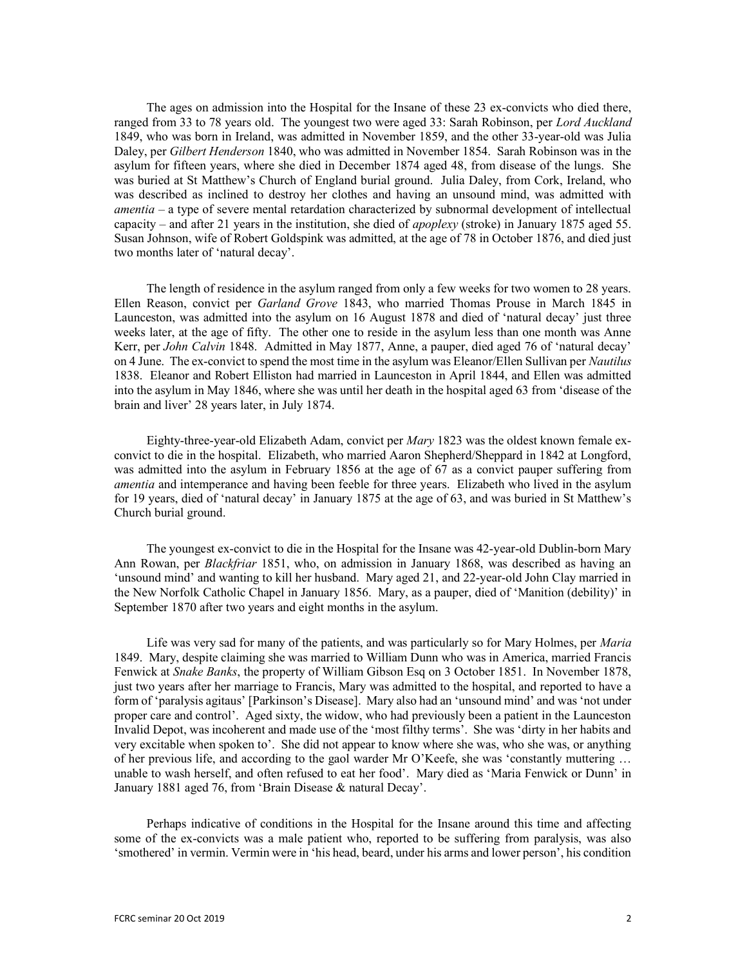The ages on admission into the Hospital for the Insane of these 23 ex-convicts who died there, ranged from 33 to 78 years old. The youngest two were aged 33: Sarah Robinson, per Lord Auckland 1849, who was born in Ireland, was admitted in November 1859, and the other 33-year-old was Julia Daley, per *Gilbert Henderson* 1840, who was admitted in November 1854. Sarah Robinson was in the asylum for fifteen years, where she died in December 1874 aged 48, from disease of the lungs. She was buried at St Matthew's Church of England burial ground. Julia Daley, from Cork, Ireland, who was described as inclined to destroy her clothes and having an unsound mind, was admitted with amentia – a type of severe mental retardation characterized by subnormal development of intellectual capacity – and after 21 years in the institution, she died of *apoplexy* (stroke) in January 1875 aged 55. Susan Johnson, wife of Robert Goldspink was admitted, at the age of 78 in October 1876, and died just two months later of 'natural decay'.

The length of residence in the asylum ranged from only a few weeks for two women to 28 years. Ellen Reason, convict per Garland Grove 1843, who married Thomas Prouse in March 1845 in Launceston, was admitted into the asylum on 16 August 1878 and died of 'natural decay' just three weeks later, at the age of fifty. The other one to reside in the asylum less than one month was Anne Kerr, per John Calvin 1848. Admitted in May 1877, Anne, a pauper, died aged 76 of 'natural decay' on 4 June. The ex-convict to spend the most time in the asylum was Eleanor/Ellen Sullivan per Nautilus 1838. Eleanor and Robert Elliston had married in Launceston in April 1844, and Ellen was admitted into the asylum in May 1846, where she was until her death in the hospital aged 63 from 'disease of the brain and liver' 28 years later, in July 1874.

Eighty-three-year-old Elizabeth Adam, convict per *Mary* 1823 was the oldest known female exconvict to die in the hospital. Elizabeth, who married Aaron Shepherd/Sheppard in 1842 at Longford, was admitted into the asylum in February 1856 at the age of 67 as a convict pauper suffering from amentia and intemperance and having been feeble for three years. Elizabeth who lived in the asylum for 19 years, died of 'natural decay' in January 1875 at the age of 63, and was buried in St Matthew's Church burial ground.

The youngest ex-convict to die in the Hospital for the Insane was 42-year-old Dublin-born Mary Ann Rowan, per *Blackfriar* 1851, who, on admission in January 1868, was described as having an 'unsound mind' and wanting to kill her husband. Mary aged 21, and 22-year-old John Clay married in the New Norfolk Catholic Chapel in January 1856. Mary, as a pauper, died of 'Manition (debility)' in September 1870 after two years and eight months in the asylum.

Life was very sad for many of the patients, and was particularly so for Mary Holmes, per Maria 1849. Mary, despite claiming she was married to William Dunn who was in America, married Francis Fenwick at *Snake Banks*, the property of William Gibson Esq on 3 October 1851. In November 1878, just two years after her marriage to Francis, Mary was admitted to the hospital, and reported to have a form of 'paralysis agitaus' [Parkinson's Disease]. Mary also had an 'unsound mind' and was 'not under proper care and control'. Aged sixty, the widow, who had previously been a patient in the Launceston Invalid Depot, was incoherent and made use of the 'most filthy terms'. She was 'dirty in her habits and very excitable when spoken to'. She did not appear to know where she was, who she was, or anything of her previous life, and according to the gaol warder Mr O'Keefe, she was 'constantly muttering … unable to wash herself, and often refused to eat her food'. Mary died as 'Maria Fenwick or Dunn' in January 1881 aged 76, from 'Brain Disease & natural Decay'.

Perhaps indicative of conditions in the Hospital for the Insane around this time and affecting some of the ex-convicts was a male patient who, reported to be suffering from paralysis, was also 'smothered' in vermin. Vermin were in 'his head, beard, under his arms and lower person', his condition